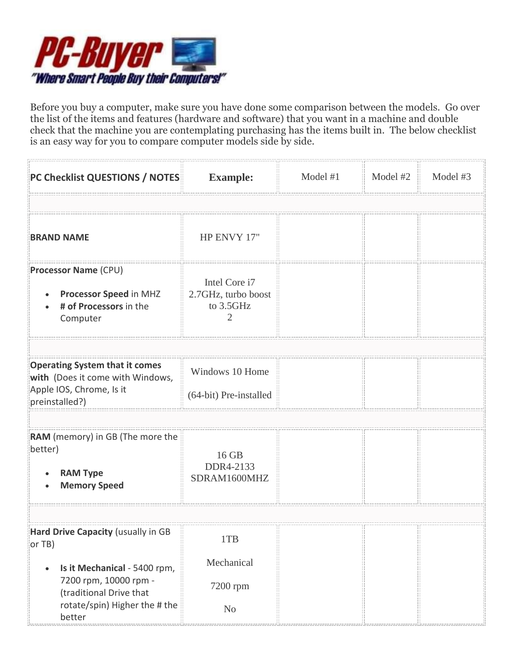

Before you buy a computer, make sure you have done some comparison between the models. Go over the list of the items and features (hardware and software) that you want in a machine and double check that the machine you are contemplating purchasing has the items built in. The below checklist is an easy way for you to compare computer models side by side.

| PC Checklist QUESTIONS / NOTES                                                                     | <b>Example:</b>                                        | Model #1 | Model #2 | Model #3 |
|----------------------------------------------------------------------------------------------------|--------------------------------------------------------|----------|----------|----------|
|                                                                                                    |                                                        |          |          |          |
| <b>BRAND NAME</b>                                                                                  | HP ENVY 17"                                            |          |          |          |
| <b>Processor Name (CPU)</b><br><b>Processor Speed in MHZ</b><br># of Processors in the<br>Computer | Intel Core i7<br>2.7GHz, turbo boost<br>to 3.5GHz<br>2 |          |          |          |
|                                                                                                    |                                                        |          |          |          |
| <b>Operating System that it comes</b><br>with (Does it come with Windows,                          | Windows 10 Home                                        |          |          |          |
| Apple IOS, Chrome, Is it<br>preinstalled?)                                                         | (64-bit) Pre-installed                                 |          |          |          |
|                                                                                                    |                                                        |          |          |          |
| RAM (memory) in GB (The more the<br>better)<br><b>RAM Type</b><br><b>Memory Speed</b>              | 16 GB<br>DDR4-2133<br>SDRAM1600MHZ                     |          |          |          |
|                                                                                                    |                                                        |          |          |          |
| Hard Drive Capacity (usually in GB<br>or TB)                                                       | 1TB                                                    |          |          |          |
| Is it Mechanical - 5400 rpm,<br>$\bullet$                                                          | Mechanical                                             |          |          |          |
| 7200 rpm, 10000 rpm -<br>(traditional Drive that                                                   | 7200 rpm                                               |          |          |          |
| rotate/spin) Higher the # the<br>better                                                            | No                                                     |          |          |          |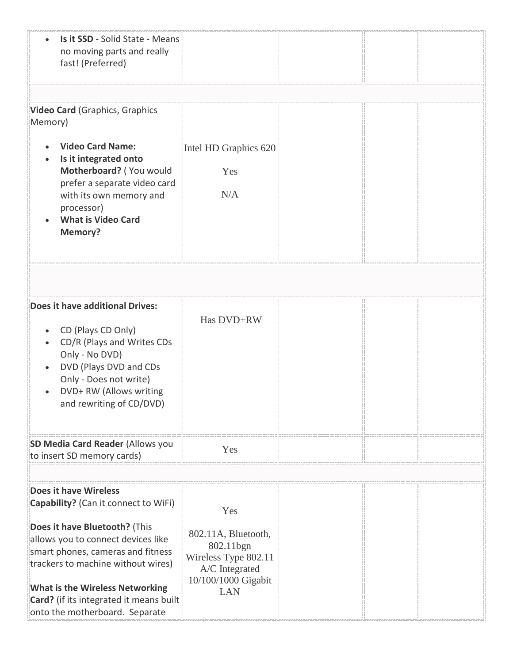| Is it SSD - Solid State - Means<br>no moving parts and really<br>fast! (Preferred) |                                   |  |  |
|------------------------------------------------------------------------------------|-----------------------------------|--|--|
|                                                                                    |                                   |  |  |
| <b>Video Card</b> (Graphics, Graphics<br>Memory)                                   |                                   |  |  |
| <b>Video Card Name:</b>                                                            | Intel HD Graphics 620             |  |  |
| Is it integrated onto                                                              |                                   |  |  |
| Motherboard? (You would                                                            | Yes                               |  |  |
| prefer a separate video card                                                       | N/A                               |  |  |
| with its own memory and<br>processor)                                              |                                   |  |  |
| <b>What is Video Card</b>                                                          |                                   |  |  |
| <b>Memory?</b>                                                                     |                                   |  |  |
|                                                                                    |                                   |  |  |
|                                                                                    |                                   |  |  |
|                                                                                    |                                   |  |  |
| Does it have additional Drives:                                                    |                                   |  |  |
|                                                                                    | Has DVD+RW                        |  |  |
| CD (Plays CD Only)                                                                 |                                   |  |  |
| CD/R (Plays and Writes CDs<br>Only - No DVD)                                       |                                   |  |  |
| DVD (Plays DVD and CDs                                                             |                                   |  |  |
| Only - Does not write)                                                             |                                   |  |  |
| DVD+ RW (Allows writing                                                            |                                   |  |  |
| and rewriting of CD/DVD)                                                           |                                   |  |  |
|                                                                                    |                                   |  |  |
|                                                                                    |                                   |  |  |
| SD Media Card Reader (Allows you<br>to insert SD memory cards)                     | Yes                               |  |  |
|                                                                                    |                                   |  |  |
|                                                                                    |                                   |  |  |
| Does it have Wireless                                                              |                                   |  |  |
| Capability? (Can it connect to WiFi)                                               | Yes                               |  |  |
| Does it have Bluetooth? (This                                                      |                                   |  |  |
| allows you to connect devices like                                                 | 802.11A, Bluetooth,               |  |  |
| smart phones, cameras and fitness                                                  | 802.11bgn<br>Wireless Type 802.11 |  |  |
| trackers to machine without wires)                                                 | A/C Integrated                    |  |  |
|                                                                                    | 10/100/1000 Gigabit               |  |  |
| What is the Wireless Networking<br>Card? (if its integrated it means built         | <b>LAN</b>                        |  |  |
| onto the motherboard. Separate                                                     |                                   |  |  |
|                                                                                    |                                   |  |  |